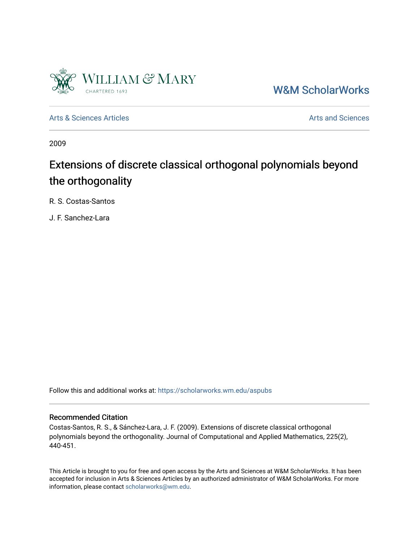

[W&M ScholarWorks](https://scholarworks.wm.edu/) 

[Arts & Sciences Articles](https://scholarworks.wm.edu/aspubs) **Articles** [Arts and Sciences](https://scholarworks.wm.edu/as) Articles Arts and Sciences Arts and Sciences

2009

# Extensions of discrete classical orthogonal polynomials beyond the orthogonality

R. S. Costas-Santos

J. F. Sanchez-Lara

Follow this and additional works at: [https://scholarworks.wm.edu/aspubs](https://scholarworks.wm.edu/aspubs?utm_source=scholarworks.wm.edu%2Faspubs%2F1163&utm_medium=PDF&utm_campaign=PDFCoverPages) 

#### Recommended Citation

Costas-Santos, R. S., & Sánchez-Lara, J. F. (2009). Extensions of discrete classical orthogonal polynomials beyond the orthogonality. Journal of Computational and Applied Mathematics, 225(2), 440-451.

This Article is brought to you for free and open access by the Arts and Sciences at W&M ScholarWorks. It has been accepted for inclusion in Arts & Sciences Articles by an authorized administrator of W&M ScholarWorks. For more information, please contact [scholarworks@wm.edu](mailto:scholarworks@wm.edu).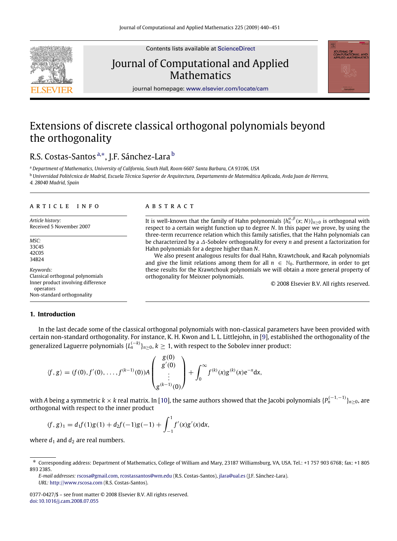

Contents lists available at [ScienceDirect](http://www.elsevier.com/locate/cam)

## Journal of Computational and Applied **Mathematics**



journal homepage: [www.elsevier.com/locate/cam](http://www.elsevier.com/locate/cam)

## Extensions of discrete classical orthogonal polynomials beyond the orthogonality

### R.S. Costas-Santos <sup>[a,](#page-1-0)[∗](#page-1-1)</sup>, J.F. Sánchez-Lara <sup>[b](#page-1-2)</sup>

<span id="page-1-2"></span><span id="page-1-0"></span><sup>a</sup> *Department of Mathematics, University of California, South Hall, Room 6607 Santa Barbara, CA 93106, USA* <sup>b</sup> *Universidad Politécnica de Madrid, Escuela Técnica Superior de Arquitectura, Departamento de Matemática Aplicada, Avda Juan de Herrera, 4. 28040 Madrid, Spain*

#### A R T I C L E I N F O

*Article history:* Received 5 November 2007

*MSC:* 33C45 42C05 34B24

*Keywords:* Classical orthogonal polynomials Inner product involving difference operators Non-standard orthogonality

#### **1. Introduction**

#### In the last decade some of the classical orthogonal polynomials with non-classical parameters have been provided with certain non-standard orthogonality. For instance, K. H. Kwon and L. L. Littlejohn, in [\[9\]](#page-12-0), established the orthogonality of the generalized Laguerre polynomials  $\{L_n^{(-k)}\}_{n\geq 0}, k\geq 1$ , with respect to the Sobolev inner product:

$$
\langle f, g \rangle = (f(0), f'(0), \ldots, f^{(k-1)}(0)) A \begin{pmatrix} g(0) \\ g'(0) \\ \vdots \\ g^{(k-1)}(0) \end{pmatrix} + \int_0^\infty f^{(k)}(x) g^{(k)}(x) e^{-x} dx,
$$

with *A* being a symmetric *k* × *k* real matrix. In [\[10\]](#page-12-1), the same authors showed that the Jacobi polynomials {*P* (−1,−1) *<sup>n</sup>* }*n*≥0, are orthogonal with respect to the inner product

$$
(f,g)_1 = d_1f(1)g(1) + d_2f(-1)g(-1) + \int_{-1}^1 f'(x)g'(x)dx,
$$

where  $d_1$  and  $d_2$  are real numbers.

*E-mail addresses:* [rscosa@gmail.com,](mailto:rscosa@gmail.com) [rcostassantos@wm.edu](mailto:rcostassantos@wm.edu) (R.S. Costas-Santos), [jlara@ual.es](mailto:jlara@ual.es) (J.F. Sánchez-Lara). *URL:* <http://www.rscosa.com> (R.S. Costas-Santos).

#### a b s t r a c t

It is well-known that the family of Hahn polynomials  $\{h_n^{\alpha,\beta}(x;N)\}_{n\geq 0}$  is orthogonal with respect to a certain weight function up to degree *N*. In this paper we prove, by using the three-term recurrence relation which this family satisfies, that the Hahn polynomials can be characterized by a ∆-Sobolev orthogonality for every *n* and present a factorization for Hahn polynomials for a degree higher than *N*.

We also present analogous results for dual Hahn, Krawtchouk, and Racah polynomials and give the limit relations among them for all  $n \in \mathbb{N}_0$ . Furthermore, in order to get these results for the Krawtchouk polynomials we will obtain a more general property of orthogonality for Meixner polynomials.

© 2008 Elsevier B.V. All rights reserved.

<span id="page-1-1"></span><sup>∗</sup> Corresponding address: Department of Mathematics, College of William and Mary, 23187 Williamsburg, VA, USA. Tel.: +1 757 903 6768; fax: +1 805 893 2385.

<sup>0377-0427/\$ –</sup> see front matter © 2008 Elsevier B.V. All rights reserved. [doi:10.1016/j.cam.2008.07.055](http://dx.doi.org/10.1016/j.cam.2008.07.055)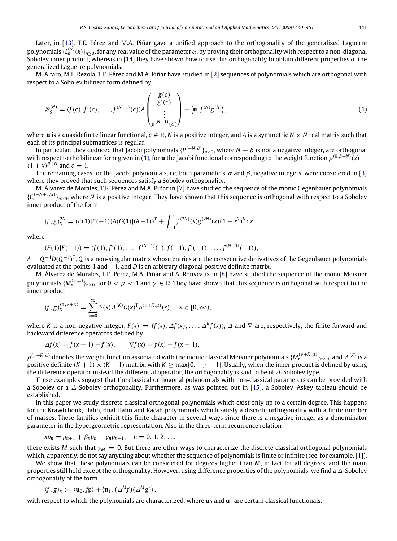Later, in [\[13\]](#page-12-2), T.E. Pérez and M.A. Piñar gave a unified approach to the orthogonality of the generalized Laguerre polynomials  $\{L_n^{(\alpha)}(x)\}_{n\ge0}$ , for any real value of the parameter  $\alpha$ , by proving their orthogonality with respect to a non-diagonal Sobolev inner product, whereas in [\[14\]](#page-12-3) they have shown how to use this orthogonality to obtain different properties of the generalized Laguerre polynomials.

M. Alfaro, M.L. Rezola, T.E. Pérez and M.A. Piñar have studied in [\[2\]](#page-11-0) sequences of polynomials which are orthogonal with respect to a Sobolev bilinear form defined by

<span id="page-2-0"></span>
$$
\mathcal{B}_{S}^{(N)} = (f(c), f'(c), \dots, f^{(N-1)}(c))A\begin{pmatrix} g(c) \\ g'(c) \\ \vdots \\ g^{(N-1)}(c) \end{pmatrix} + \langle \mathbf{u}, f^{(N)}g^{(N)} \rangle, \tag{1}
$$

where **u** is a quasidefinite linear functional,  $c \in \mathbb{R}$ , *N* is a positive integer, and *A* is a symmetric  $N \times N$  real matrix such that each of its principal submatrices is regular.

In particular, they deduced that Jacobi polynomials {*P* (−*N*,β)}*n*≥0, where *<sup>N</sup>* + β is not a negative integer, are orthogonal with respect to the bilinear form given in [\(1\),](#page-2-0) for **u** the Jacobi functional corresponding to the weight function  $\rho^{(0,\beta+N)}(x) =$  $(1 + x)^{\hat{\beta} + N}$  and  $c = 1$ .

The remaining cases for the Jacobi polynomials, i.e. both parameters,  $\alpha$  and  $\beta$ , negative integers, were considered in [\[3\]](#page-11-1) where they proved that such sequences satisfy a Sobolev orthogonality.

M. Álvarez de Morales, T.E. Pérez and M.A. Piñar in [\[7\]](#page-12-4) have studied the sequence of the monic Gegenbauer polynomials  ${C_n^{(-N+1/2)}\}_{n\geq 0}$ , where *N* is a positive integer. They have shown that this sequence is orthogonal with respect to a Sobolev inner product of the form

$$
(f,g)_S^{2N} = (F(1)|F(-1))A(G(1)|G(-1))^T + \int_{-1}^1 f^{(2N)}(x)g^{(2N)}(x)(1-x^2)^N dx,
$$

where

 $(F(1)|F(-1)) = (f(1), f'(1), \ldots, f^{(N-1)}(1), f'(-1), f'(-1), \ldots, f^{(N-1)}(-1)),$ 

*A* = *Q* <sup>−</sup><sup>1</sup>*D*(*Q* −1 ) T , *Q* is a non-singular matrix whose entries are the consecutive derivatives of the Gegenbauer polynomials evaluated at the points 1 and −1, and *D* is an arbitrary diagonal positive definite matrix.

M. Álvarez de Morales, T.E. Pérez, M.A. Piñar and A. Ronveaux in [\[8\]](#page-12-5) have studied the sequence of the monic Meixner polynomials  $\{M_n^{(\gamma,\mu)}\}_{n\geq0}$ , for  $0<\mu< 1$  and  $\gamma\in\R.$  They have shown that this sequence is orthogonal with respect to the inner product

$$
(f,g)_S^{(K,\gamma+K)} = \sum_{x=0}^{\infty} F(x) \Lambda^{(K)} G(x)^T \rho^{(\gamma+K,\mu)}(x), \quad x \in [0,\infty),
$$

where *K* is a non-negative integer,  $F(x) = (f(x), \Delta f(x), \ldots, \Delta^k f(x))$ ,  $\Delta$  and  $\nabla$  are, respectively, the finite forward and backward difference operators defined by

$$
\Delta f(x) = f(x+1) - f(x), \qquad \nabla f(x) = f(x) - f(x-1),
$$

 $\rho^{(\gamma+K,\mu)}$  denotes the weight function associated with the monic classical Meixner polynomials  $\{M_n^{(\gamma+K,\mu)}\}_{n\geq 0}$ , and  $\Lambda^{(K)}$  is a positive definite  $(K + 1) \times (K + 1)$  matrix, with  $K \ge \max\{0, -\gamma + 1\}$ . Usually, when the inner product is defined by using the difference operator instead the differential operator, the orthogonality is said to be of ∆-Sobolev type.

These examples suggest that the classical orthogonal polynomials with non-classical parameters can be provided with a Sobolev or a ∆-Sobolev orthogonality. Furthermore, as was pointed out in [\[15\]](#page-12-6), a Sobolev–Askey tableau should be established.

In this paper we study discrete classical orthogonal polynomials which exist only up to a certain degree. This happens for the Krawtchouk, Hahn, dual Hahn and Racah polynomials which satisfy a discrete orthogonality with a finite number of masses. These families exhibit this finite character in several ways since there is a negative integer as a denominator parameter in the hypergeometric representation. Also in the three-term recurrence relation

$$
xp_n = p_{n+1} + \beta_n p_n + \gamma_n p_{n-1}, \quad n = 0, 1, 2, \ldots
$$

there exists *M* such that  $\gamma_M = 0$ . But there are other ways to characterize the discrete classical orthogonal polynomials which, apparently, do not say anything about whether the sequence of polynomials is finite or infinite (see, for example, [\[1\]](#page-11-2)).

We show that these polynomials can be considered for degrees higher than *M*, in fact for all degrees, and the main properties still hold except the orthogonality. However, using difference properties of the polynomials, we find a ∆-Sobolev orthogonality of the form

$$
\langle f, g \rangle_{S} \coloneqq \langle \mathbf{u}_0, fg \rangle + \langle \mathbf{u}_1, (\Delta^M f)(\Delta^M g) \rangle,
$$

with respect to which the polynomials are characterized, where  $\mathbf{u}_0$  and  $\mathbf{u}_1$  are certain classical functionals.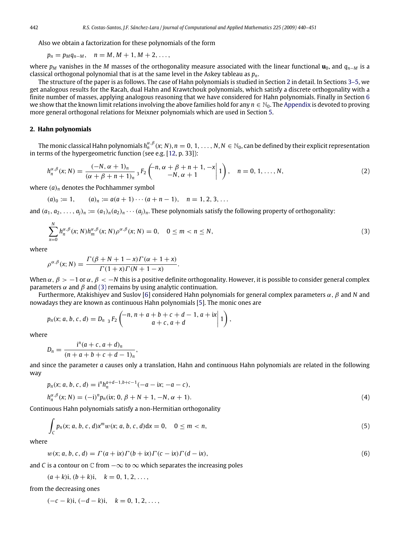Also we obtain a factorization for these polynomials of the form

$$
p_n = p_M q_{n-M}, \quad n = M, M + 1, M + 2, \ldots,
$$

where *p<sup>M</sup>* vanishes in the *M* masses of the orthogonality measure associated with the linear functional **u**0, and *qn*−*<sup>M</sup>* is a classical orthogonal polynomial that is at the same level in the Askey tableau as *pn*.

The structure of the paper is as follows. The case of Hahn polynomials is studied in Section [2](#page-3-0) in detail. In Sections [3–5,](#page-6-0) we get analogous results for the Racah, dual Hahn and Krawtchouk polynomials, which satisfy a discrete orthogonality with a finite number of masses, applying analogous reasoning that we have considered for Hahn polynomials. Finally in Section [6](#page-9-0) we show that the known limit relations involving the above families hold for any  $n \in \mathbb{N}_0$ . The [Appendix](#page-10-0) is devoted to proving more general orthogonal relations for Meixner polynomials which are used in Section [5.](#page-9-1)

#### <span id="page-3-0"></span>**2. Hahn polynomials**

The monic classical Hahn polynomials  $h_n^{\alpha,\beta}(x;N), n=0,1,\ldots,N,$   $N\in\mathbb{N}_0$ , can be defined by their explicit representation in terms of the hypergeometric function (see e.g. [\[12,](#page-12-7) p. 33]):

$$
h_n^{\alpha,\beta}(x;N) = \frac{(-N,\alpha+1)_n}{(\alpha+\beta+n+1)_n} {}_3F_2\left(\begin{matrix}n,\alpha+\beta+n+1,-x\\-N,\alpha+1\end{matrix}\Big|1\right), \quad n = 0, 1, \ldots, N,
$$
 (2)

where (*a*)*<sup>n</sup>* denotes the Pochhammer symbol

$$
(a)_0 := 1, \qquad (a)_n := a(a+1)\cdots(a+n-1), \quad n = 1, 2, 3, \ldots
$$

and  $(a_1, a_2, \ldots, a_i)_n := (a_1)_n (a_2)_n \cdots (a_i)_n$ . These polynomials satisfy the following property of orthogonality:

<span id="page-3-4"></span><span id="page-3-3"></span><span id="page-3-2"></span><span id="page-3-1"></span>.

$$
\sum_{x=0}^{N} h_n^{\alpha,\beta}(x;N) h_m^{\alpha,\beta}(x;N) \rho^{\alpha,\beta}(x;N) = 0, \quad 0 \le m < n \le N,
$$
\n(3)

where

$$
\rho^{\alpha,\beta}(x;N) = \frac{\Gamma(\beta+N+1-x)\Gamma(\alpha+1+x)}{\Gamma(1+x)\Gamma(N+1-x)}
$$

When  $\alpha$ ,  $\beta > -1$  or  $\alpha$ ,  $\beta < -N$  this is a positive definite orthogonality. However, it is possible to consider general complex parameters  $\alpha$  and  $\beta$  and [\(3\)](#page-3-1) remains by using analytic continuation.

Furthermore, Atakishiyev and Suslov [\[6\]](#page-11-3) considered Hahn polynomials for general complex parameters α, β and *N* and nowadays they are known as continuous Hahn polynomials [\[5\]](#page-11-4). The monic ones are

$$
p_n(x; a, b, c, d) = D_{n-3} F_2 \begin{pmatrix} -n, n+a+b+c+d-1, a+ix \ a+c, a+d \end{pmatrix},
$$

where

$$
D_n = \frac{i^n (a + c, a + d)_n}{(n + a + b + c + d - 1)_n},
$$

and since the parameter *a* causes only a translation, Hahn and continuous Hahn polynomials are related in the following way

$$
p_n(x; a, b, c, d) = inhna+d-1,b+c-1(-a-ix; -a-c),hn\alpha, \beta(x; N) = (-i)np_n(ix; 0, \beta + N + 1, -N, \alpha + 1).
$$
\n(4)

Continuous Hahn polynomials satisfy a non-Hermitian orthogonality

$$
\int_{C} p_n(x; a, b, c, d) x^m w(x; a, b, c, d) dx = 0, \quad 0 \le m < n,
$$
\n(5)

where

$$
w(x; a, b, c, d) = \Gamma(a + ix)\Gamma(b + ix)\Gamma(c - ix)\Gamma(d - ix),
$$
\n(6)

and *C* is a contour on  $\mathbb C$  from  $-\infty$  to  $\infty$  which separates the increasing poles

 $(a + k)i$ ,  $(b + k)i$ ,  $k = 0, 1, 2, \ldots$ 

from the decreasing ones

 $(-c - k)i, (-d - k)i, k = 0, 1, 2, \ldots$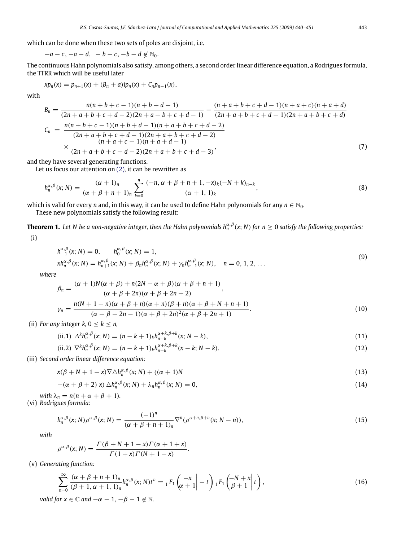which can be done when these two sets of poles are disjoint, i.e.

 $-a-c, -a-d, -b-c, -b-d \notin \mathbb{N}_0$ .

The continuous Hahn polynomials also satisfy, among others, a second order linear difference equation, a Rodrigues formula, the TTRR which will be useful later

$$
xp_n(x) = p_{n+1}(x) + (B_n + a)ip_n(x) + C_np_{n-1}(x),
$$

with

<span id="page-4-1"></span>
$$
B_n = \frac{n(n+b+c-1)(n+b+d-1)}{(2n+a+b+c+d-2)(2n+a+b+c+d-1)} - \frac{(n+a+b+c+d-1)(n+a+c)(n+a+d)}{(2n+a+b+c+d-1)(2n+a+b+c+d-1)}
$$
  

$$
C_n = \frac{n(n+b+c-1)(n+b+d-1)(n+a+b+c+d-2)}{(2n+a+b+c+d-1)(2n+a+b+c+d-2)}
$$
  

$$
\times \frac{(n+a+c-1)(n+a+d-1)}{(2n+a+b+c+d-2)(2n+a+b+c+d-3)},
$$
(7)

and they have several generating functions.

Let us focus our attention on [\(2\),](#page-3-2) it can be rewritten as

$$
h_n^{\alpha,\beta}(x;N) = \frac{(\alpha+1)_n}{(\alpha+\beta+n+1)_n} \sum_{k=0}^n \frac{(-n,\alpha+\beta+n+1,-x)_k(-N+k)_{n-k}}{(\alpha+1,1)_k},\tag{8}
$$

which is valid for every *n* and, in this way, it can be used to define Hahn polynomials for any  $n \in \mathbb{N}_0$ . These new polynomials satisfy the following result:

**Theorem 1.** Let N be a non-negative integer, then the Hahn polynomials  $h_n^{\alpha,\beta}(x;N)$  for  $n\geq 0$  satisfy the following properties: (i)

<span id="page-4-0"></span>
$$
h_{-1}^{\alpha,\beta}(x;N) = 0, \qquad h_0^{\alpha,\beta}(x;N) = 1,
$$
  
\n
$$
x h_n^{\alpha,\beta}(x;N) = h_{n+1}^{\alpha,\beta}(x;N) + \beta_n h_n^{\alpha,\beta}(x;N) + \gamma_n h_{n-1}^{\alpha,\beta}(x;N), \quad n = 0, 1, 2, ...
$$
\n(9)

*where*

$$
\beta_n = \frac{(\alpha + 1)N(\alpha + \beta) + n(2N - \alpha + \beta)(\alpha + \beta + n + 1)}{(\alpha + \beta + 2n)(\alpha + \beta + 2n + 2)},
$$
  
\n
$$
\gamma_n = \frac{n(N + 1 - n)(\alpha + \beta + n)(\alpha + n)(\beta + n)(\alpha + \beta + N + n + 1)}{(\alpha + \beta + 2n - 1)(\alpha + \beta + 2n)^2(\alpha + \beta + 2n + 1)}.
$$
\n(10)

(ii) *For any integer k,*  $0 \leq k \leq n$ ,

(ii.1) 
$$
\Delta^k h_n^{\alpha,\beta}(x;N) = (n-k+1)_k h_{n-k}^{\alpha+k,\beta+k}(x;N-k),
$$
\n(11)

(ii.2) 
$$
\nabla^k h_n^{\alpha,\beta}(x;N) = (n-k+1)_k h_{n-k}^{\alpha+k,\beta+k}(x-k;N-k).
$$
 (12)

(iii) *Second order linear difference equation:*

$$
x(\beta + N + 1 - x)\nabla \triangle h_n^{\alpha, \beta}(x; N) + ((\alpha + 1)N) \tag{13}
$$

$$
-(\alpha + \beta + 2) x) \Delta h_n^{\alpha,\beta}(x;N) + \lambda_n h_n^{\alpha,\beta}(x;N) = 0,
$$
\n(14)

*with*  $\lambda_n = n(n + \alpha + \beta + 1)$ *.* (vi) *Rodrigues formula:*

$$
h_n^{\alpha,\beta}(x;N)\rho^{\alpha,\beta}(x;N) = \frac{(-1)^n}{(\alpha+\beta+n+1)_n} \nabla^n(\rho^{\alpha+n,\beta+n}(x;N-n)),\tag{15}
$$

.

*with*

$$
\rho^{\alpha,\beta}(x;N) = \frac{\Gamma(\beta+N+1-x)\Gamma(\alpha+1+x)}{\Gamma(1+x)\Gamma(N+1-x)}
$$

(v) *Generating function:*

$$
\sum_{n=0}^{\infty} \frac{(\alpha+\beta+n+1)_n}{(\beta+1,\alpha+1,1)_n} h_n^{\alpha,\beta}(x;N) t^n = {}_1F_1\left(\begin{matrix} -x\\ \alpha+1 \end{matrix}\Big| -t\right) {}_1F_1\left(\begin{matrix} -N+x\\ \beta+1 \end{matrix}\Big| t\right),\tag{16}
$$

*valid for*  $x \in \mathbb{C}$  *and*  $-\alpha - 1$ ,  $-\beta - 1 \notin \mathbb{N}$ .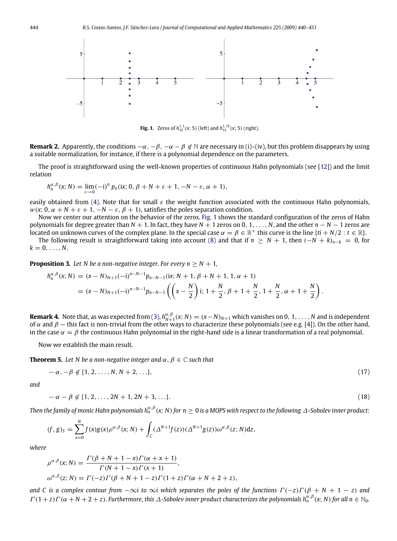<span id="page-5-0"></span>

**Fig. 1.** Zeros of  $h_{15}^{1,1}(x; 5)$  (left) and  $h_{15}^{1,15}(x; 5)$  (right).

**Remark 2.** Apparently, the conditions  $-\alpha$ ,  $-\beta$ ,  $-\alpha - \beta \notin \mathbb{N}$  are necessary in (i)–(iv), but this problem disappears by using a suitable normalization, for instance, if there is a polynomial dependence on the parameters.

The proof is straightforward using the well-known properties of continuous Hahn polynomials (see [\[12\]](#page-12-7)) and the limit relation

$$
h_n^{\alpha,\beta}(x;N) = \lim_{\varepsilon \to 0} (-i)^n p_n(ix; 0, \beta + N + \varepsilon + 1, -N - \varepsilon, \alpha + 1),
$$

easily obtained from [\(4\).](#page-3-3) Note that for small  $\varepsilon$  the weight function associated with the continuous Hahn polynomials,  $w(x; 0, \alpha + N + \varepsilon + 1, -N - \varepsilon, \beta + 1)$ , satisfies the poles separation condition.

Now we center our attention on the behavior of the zeros. [Fig. 1](#page-5-0) shows the standard configuration of the zeros of Hahn polynomials for degree greater than *N* + 1. In fact, they have *N* + 1 zeros on 0, 1, . . . , *N*, and the other *n* − *N* − 1 zeros are located on unknown curves of the complex plane. In the special case  $\alpha = \beta \in \mathbb{R}^+$  this curve is the line { $ti + N/2 : t \in \mathbb{R}$ }.

The following result is straightforward taking into account [\(8\)](#page-4-0) and that if  $n > N + 1$ , then  $(-N + k)_{n-k} = 0$ , for  $k = 0, \ldots, N$ .

**Proposition 3.** Let N be a non-negative integer. For every  $n > N + 1$ ,

<span id="page-5-3"></span>
$$
h_n^{\alpha,\beta}(x;N) = (x - N)_{N+1}(-i)^{n-N-1}p_{n-N-1}(ix; N+1, \beta+N+1, 1, \alpha+1)
$$
  
=  $(x - N)_{N+1}(-i)^{n-N-1}p_{n-N-1}\left(\left(x - \frac{N}{2}\right)i; 1 + \frac{N}{2}, \beta+1+\frac{N}{2}, 1 + \frac{N}{2}, \alpha+1+\frac{N}{2}\right).$ 

**Remark 4.** Note that, as was expected from [\(3\),](#page-3-1)  $h_{N+1}^{\alpha,\beta}(x;N)=(x-N)_{N+1}$  which vanishes on 0, 1,  $\dots$  , N and is independent of α and  $β$  – this fact is non-trivial from the other ways to characterize these polynomials (see e.g. [\[4\]](#page-11-5)). On the other hand, in the case  $\alpha = \beta$  the continuous Hahn polynomial in the right-hand side is a linear transformation of a real polynomial.

Now we establish the main result.

**Theorem 5.** Let N be a non-negative integer and  $\alpha$ ,  $\beta \in \mathbb{C}$  such that

<span id="page-5-2"></span><span id="page-5-1"></span>
$$
-\alpha, -\beta \notin \{1, 2, \dots, N, N+2, \dots\},\tag{17}
$$

*and*

$$
-\alpha - \beta \notin \{1, 2, \dots, 2N + 1, 2N + 3, \dots\}.
$$
 (18)

Then the family of monic Hahn polynomials h $^{\alpha,\beta}_n(x;N)$  for  $n\geq 0$  is a MOPS with respect to the following  $\varDelta$ -Sobolev inner product:

$$
(f,g)_S = \sum_{x=0}^N f(x)g(x)\rho^{\alpha,\beta}(x;N) + \int_C (\Delta^{N+1}f(z))(\Delta^{N+1}g(z))\omega^{\alpha,\beta}(z;N)dz,
$$

*where*

$$
\rho^{\alpha,\beta}(x;N) = \frac{\Gamma(\beta + N + 1 - x)\Gamma(\alpha + x + 1)}{\Gamma(N + 1 - x)\Gamma(x + 1)},
$$
  

$$
\omega^{\alpha,\beta}(z;N) = \Gamma(-z)\Gamma(\beta + N + 1 - z)\Gamma(1 + z)\Gamma(\alpha + N + 2 + z),
$$

*and* C is a complex contour from  $-\infty$ i to  $\infty$ i which separates the poles of the functions  $\Gamma(-z)\Gamma(\beta + N + 1 - z)$  and  $\Gamma(1+z)\Gamma(\alpha+N+2+z)$ . Furthermore, this  $\Delta$ -Sobolev inner product characterizes the polynomials  $h_n^{\alpha,\beta}(x;N)$  for all  $n \in \mathbb{N}_0$ .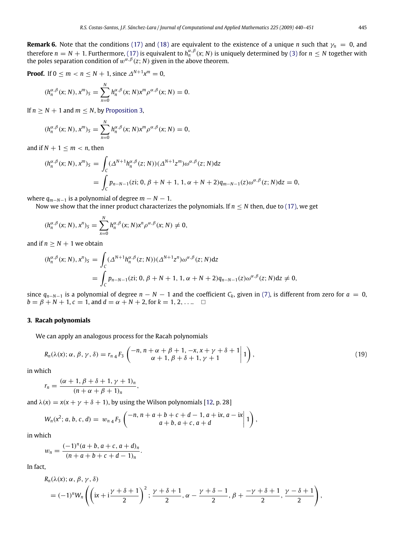**Proof.** If 0 ≤ *m* < *n* ≤ *N* + 1, since  $\Delta^{N+1}x^m = 0$ ,

$$
(h_n^{\alpha,\beta}(x;N),x^m)_S=\sum_{x=0}^N h_n^{\alpha,\beta}(x;N)x^m\rho^{\alpha,\beta}(x;N)=0.
$$

If  $n > N + 1$  and  $m < N$ , by [Proposition 3,](#page-5-3)

$$
(h_n^{\alpha,\beta}(x;N),x^m)_S = \sum_{x=0}^N h_n^{\alpha,\beta}(x;N)x^m \rho^{\alpha,\beta}(x;N) = 0,
$$

and if  $N + 1 \le m < n$ , then

$$
(h_n^{\alpha,\beta}(x;N),x^m)_S = \int_C (\Delta^{N+1}h_n^{\alpha,\beta}(z;N))(\Delta^{N+1}z^m)\omega^{\alpha,\beta}(z;N)dz
$$
  
= 
$$
\int_C p_{n-N-1}(zi; 0, \beta+N+1, 1, \alpha+N+2)q_{m-N-1}(z)\omega^{\alpha,\beta}(z;N)dz = 0,
$$

where  $q_{m-N-1}$  is a polynomial of degree  $m - N - 1$ .

Now we show that the inner product characterizes the polynomials. If  $n \leq N$  then, due to [\(17\),](#page-5-1) we get

$$
(h_n^{\alpha,\beta}(x;N),x^n)_S=\sum_{x=0}^N h_n^{\alpha,\beta}(x;N)x^n\rho^{\alpha,\beta}(x;N)\neq 0,
$$

and if  $n > N + 1$  we obtain

$$
(h_n^{\alpha,\beta}(x; N), x^n)_S = \int_C (\Delta^{N+1} h_n^{\alpha,\beta}(z; N)) (\Delta^{N+1} z^n) \omega^{\alpha,\beta}(z; N) dz
$$
  
= 
$$
\int_C p_{n-N-1}(zi; 0, \beta+N+1, 1, \alpha+N+2) q_{n-N-1}(z) \omega^{\alpha,\beta}(z; N) dz \neq 0,
$$

since  $q_{n-N-1}$  is a polynomial of degree  $n - N - 1$  and the coefficient  $C_k$ , given in [\(7\),](#page-4-1) is different from zero for  $a = 0$ ,  $b = \beta + N + 1$ ,  $c = 1$ , and  $d = \alpha + N + 2$ , for  $k = 1, 2, \ldots$ 

#### <span id="page-6-0"></span>**3. Racah polynomials**

We can apply an analogous process for the Racah polynomials

<span id="page-6-1"></span>
$$
R_n(\lambda(x); \alpha, \beta, \gamma, \delta) = r_{n_4} F_3 \left( \frac{-n, n + \alpha + \beta + 1, -x, x + \gamma + \delta + 1}{\alpha + 1, \beta + \delta + 1, \gamma + 1} \Big| 1 \right), \tag{19}
$$

in which

$$
r_n=\frac{(\alpha+1,\beta+\delta+1,\gamma+1)_n}{(n+\alpha+\beta+1)_n},
$$

and  $\lambda(x) = x(x + y + \delta + 1)$ , by using the Wilson polynomials [\[12,](#page-12-7) p. 28]

$$
W_n(x^2; a, b, c, d) = w_{n_4} F_3\left(\begin{matrix} -n, n+a+b+c+d-1, a+ix, a-ix \ a+b, a+c, a+d \end{matrix}\middle| 1\right),
$$

in which

$$
w_n = \frac{(-1)^n (a+b, a+c, a+d)_n}{(n+a+b+c+d-1)_n}.
$$

In fact,

$$
R_n(\lambda(x); \alpha, \beta, \gamma, \delta)
$$
  
=  $(-1)^n W_n \left( \left( ix + i \frac{\gamma + \delta + 1}{2} \right)^2 ; \frac{\gamma + \delta + 1}{2}, \alpha - \frac{\gamma + \delta - 1}{2}, \beta + \frac{-\gamma + \delta + 1}{2}, \frac{\gamma - \delta + 1}{2} \right),$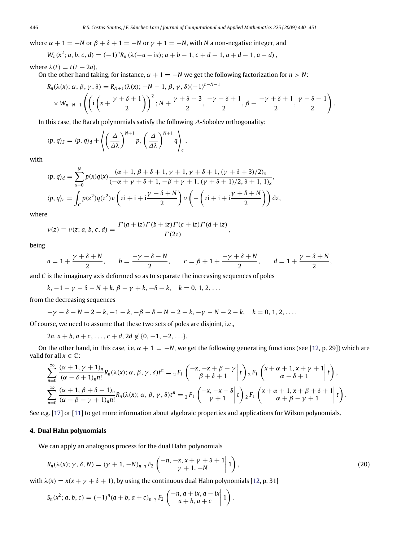where  $\alpha + 1 = -N$  or  $\beta + \delta + 1 = -N$  or  $\gamma + 1 = -N$ , with *N* a non-negative integer, and

$$
W_n(x^2; a, b, c, d) = (-1)^n R_n (\lambda(-a - ix); a + b - 1, c + d - 1, a + d - 1, a - d),
$$

where  $\lambda(t) = t(t + 2a)$ .

On the other hand taking, for instance,  $\alpha + 1 = -N$  we get the following factorization for  $n > N$ :

$$
R_n(\lambda(x); \alpha, \beta, \gamma, \delta) = R_{N+1}(\lambda(x); -N-1, \beta, \gamma, \delta) (-1)^{n-N-1}
$$
  
 
$$
\times W_{n-N-1}\left( \left(i\left(x + \frac{\gamma + \delta + 1}{2}\right)\right)^2; N + \frac{\gamma + \delta + 3}{2}, \frac{-\gamma - \delta + 1}{2}, \beta + \frac{-\gamma + \delta + 1}{2}, \frac{\gamma - \delta + 1}{2} \right).
$$

In this case, the Racah polynomials satisfy the following ∆-Sobolev orthogonality:

$$
\langle p, q \rangle_{S} = \langle p, q \rangle_{d} + \left\langle \left( \frac{\Delta}{\Delta \lambda} \right)^{N+1} p, \left( \frac{\Delta}{\Delta \lambda} \right)^{N+1} q \right\rangle_{c},
$$

with

$$
\langle p, q \rangle_d = \sum_{x=0}^N p(x)q(x) \frac{(\alpha + 1, \beta + \delta + 1, \gamma + 1, \gamma + \delta + 1, (\gamma + \delta + 3)/2)_x}{(-\alpha + \gamma + \delta + 1, -\beta + \gamma + 1, (\gamma + \delta + 1)/2, \delta + 1, 1)_x},
$$
  

$$
\langle p, q \rangle_c = \int_C p(z^2)q(z^2)\nu\left( z\mathbf{i} + \mathbf{i} + \mathbf{i}\frac{\gamma + \delta + N}{2} \right)\nu\left( -\left( z\mathbf{i} + \mathbf{i} + \mathbf{i}\frac{\gamma + \delta + N}{2} \right) \right) dz,
$$

where

$$
\nu(z) \equiv \nu(z; a, b, c, d) = \frac{\Gamma(a + iz)\Gamma(b + iz)\Gamma(c + iz)\Gamma(d + iz)}{\Gamma(2z)},
$$

being

$$
a = 1 + \frac{\gamma + \delta + N}{2}, \qquad b = \frac{-\gamma - \delta - N}{2}, \qquad c = \beta + 1 + \frac{-\gamma + \delta + N}{2}, \qquad d = 1 + \frac{\gamma - \delta + N}{2},
$$

and *C* is the imaginary axis deformed so as to separate the increasing sequences of poles

 $k, -1 - \gamma - \delta - N + k, \beta - \gamma + k, -\delta + k, \quad k = 0, 1, 2, \dots$ 

from the decreasing sequences

$$
-\gamma - \delta - N - 2 - k, -1 - k, -\beta - \delta - N - 2 - k, -\gamma - N - 2 - k, \quad k = 0, 1, 2, \ldots.
$$

Of course, we need to assume that these two sets of poles are disjoint, i.e.,

 $2a, a + b, a + c, \ldots, c + d, 2d \notin \{0, -1, -2, \ldots\}.$ 

On the other hand, in this case, i.e.  $\alpha + 1 = -N$ , we get the following generating functions (see [\[12,](#page-12-7) p. 29]) which are valid for all  $x \in \mathbb{C}$ :

$$
\sum_{n=0}^{\infty} \frac{(\alpha+1,\gamma+1)_n}{(\alpha-\delta+1)_n n!} R_n(\lambda(x); \alpha, \beta, \gamma, \delta) t^n = {}_{2}F_1\left(\begin{array}{c} -x, -x+\beta-\gamma \\ \beta+\delta+1 \end{array} \Big| t\right) {}_{2}F_1\left(\begin{array}{c} x+\alpha+1, x+\gamma+1 \\ \alpha-\delta+1 \end{array} \Big| t\right),
$$
  

$$
\sum_{n=0}^{\infty} \frac{(\alpha+1, \beta+\delta+1)_n}{(\alpha-\beta-\gamma+1)_n n!} R_n(\lambda(x); \alpha, \beta, \gamma, \delta) t^n = {}_{2}F_1\left(\begin{array}{c} -x, -x-\delta \\ \gamma+1 \end{array} \Big| t\right) {}_{2}F_1\left(\begin{array}{c} x+\alpha+1, x+\beta+\delta+1 \\ \alpha+\beta-\gamma+1 \end{array} \Big| t\right).
$$

See e.g. [\[17\]](#page-12-8) or [\[11\]](#page-12-9) to get more information about algebraic properties and applications for Wilson polynomials.

#### **4. Dual Hahn polynomials**

We can apply an analogous process for the dual Hahn polynomials

<span id="page-7-0"></span>
$$
R_n(\lambda(x); \gamma, \delta, N) = (\gamma + 1, -N)_{n \ 3} F_2 \left( \begin{matrix} -n, -x, x + \gamma + \delta + 1 \\ \gamma + 1, -N \end{matrix} \bigg| 1 \right), \tag{20}
$$

with  $\lambda(x) = x(x + y + \delta + 1)$ , by using the continuous dual Hahn polynomials [\[12,](#page-12-7) p. 31]

$$
S_n(x^2; a, b, c) = (-1)^n (a + b, a + c)_{n-3} F_2\left(\begin{matrix} -n, a + ix, a - ix \\ a + b, a + c \end{matrix} \middle| 1\right).
$$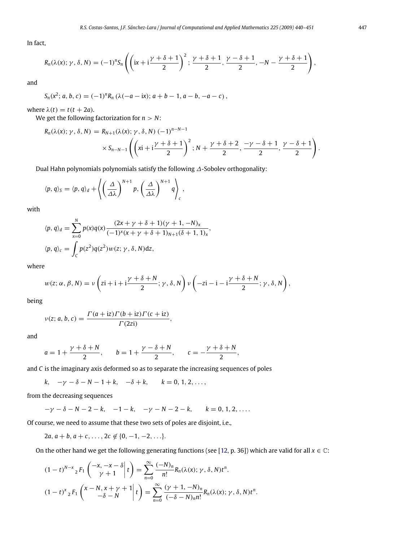In fact,

$$
R_n(\lambda(x); \gamma, \delta, N) = (-1)^n S_n\left(\left(ix + i\frac{\gamma + \delta + 1}{2}\right)^2; \frac{\gamma + \delta + 1}{2}, \frac{\gamma - \delta + 1}{2}, -N - \frac{\gamma + \delta + 1}{2}\right),
$$

and

$$
S_n(x^2; a, b, c) = (-1)^n R_n (\lambda(-a - ix); a + b - 1, a - b, -a - c),
$$

where  $\lambda(t) = t(t + 2a)$ .

We get the following factorization for *n* > *N*:

$$
R_n(\lambda(x); \gamma, \delta, N) = R_{N+1}(\lambda(x); \gamma, \delta, N) (-1)^{n-N-1}
$$
  
 
$$
\times S_{n-N-1}\left(\left(xi + i\frac{\gamma + \delta + 1}{2}\right)^2; N + \frac{\gamma + \delta + 2}{2}, \frac{-\gamma - \delta + 1}{2}, \frac{\gamma - \delta + 1}{2}\right).
$$

Dual Hahn polynomials polynomials satisfy the following ∆-Sobolev orthogonality:

$$
\langle p, q \rangle_{S} = \langle p, q \rangle_{d} + \left\langle \left( \frac{\Delta}{\Delta \lambda} \right)^{N+1} p, \left( \frac{\Delta}{\Delta \lambda} \right)^{N+1} q \right\rangle_{c},
$$

with

$$
\langle p, q \rangle_d = \sum_{x=0}^N p(x)q(x) \frac{(2x + \gamma + \delta + 1)(\gamma + 1, -N)_x}{(-1)^x (x + \gamma + \delta + 1)_{N+1} (\delta + 1, 1)_x},
$$
  

$$
\langle p, q \rangle_c = \int_C p(z^2)q(z^2)w(z; \gamma, \delta, N)dz,
$$

where

$$
w(z; \alpha, \beta, N) = \nu \left( z\mathbf{i} + \mathbf{i} + \mathbf{i} \frac{\gamma + \delta + N}{2}; \gamma, \delta, N \right) \nu \left( -z\mathbf{i} - \mathbf{i} - \mathbf{i} \frac{\gamma + \delta + N}{2}; \gamma, \delta, N \right),
$$

being

$$
v(z; a, b, c) = \frac{\Gamma(a + iz)\Gamma(b + iz)\Gamma(c + iz)}{\Gamma(2zi)},
$$

and

$$
a = 1 + \frac{\gamma + \delta + N}{2}, \qquad b = 1 + \frac{\gamma - \delta + N}{2}, \qquad c = -\frac{\gamma + \delta + N}{2},
$$

and *C* is the imaginary axis deformed so as to separate the increasing sequences of poles

*k*,  $-\gamma - \delta - N - 1 + k$ ,  $-\delta + k$ ,  $k = 0, 1, 2, ...,$ 

from the decreasing sequences

 $-\gamma - \delta - N - 2 - k$ ,  $-1 - k$ ,  $-\gamma - N - 2 - k$ ,  $k = 0, 1, 2, \ldots$ 

Of course, we need to assume that these two sets of poles are disjoint, i.e.,

 $2a, a + b, a + c, \ldots, 2c \notin \{0, -1, -2, \ldots\}.$ 

On the other hand we get the following generating functions (see [\[12,](#page-12-7) p. 36]) which are valid for all  $x \in \mathbb{C}$ :

$$
(1-t)^{N-x} {}_{2}F_{1}\left(\begin{matrix} -x, -x-\delta \\ \gamma+1 \end{matrix}\Big| t\right) = \sum_{n=0}^{\infty} \frac{(-N)_{n}}{n!} R_{n}(\lambda(x); \gamma, \delta, N) t^{n}.
$$

$$
(1-t)^{x} {}_{2}F_{1}\left(\begin{matrix} x-N, x+\gamma+1 \\ -\delta-N \end{matrix}\Big| t\right) = \sum_{n=0}^{\infty} \frac{(\gamma+1, -N)_{n}}{(-\delta-N)_{n}n!} R_{n}(\lambda(x); \gamma, \delta, N) t^{n}.
$$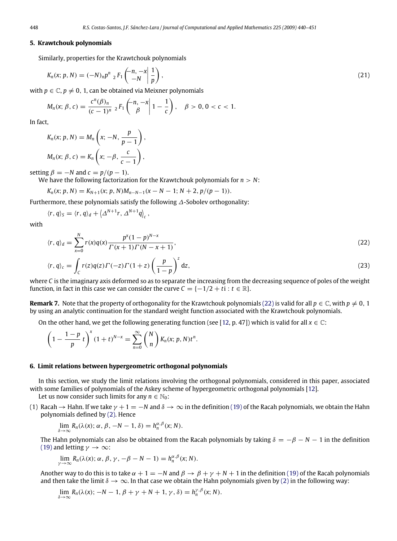#### <span id="page-9-1"></span>**5. Krawtchouk polynomials**

Similarly, properties for the Krawtchouk polynomials

$$
K_n(x; p, N) = (-N)_n p^n \, {}_{2}F_1\left(\begin{array}{c}n, -x \\ -N \end{array} \bigg| \, \frac{1}{p}\right), \tag{21}
$$

with  $p \in \mathbb{C}$ ,  $p \neq 0$ , 1, can be obtained via Meixner polynomials

<span id="page-9-3"></span>
$$
M_n(x; \beta, c) = \frac{c^n(\beta)_n}{(c-1)^n} {}_2F_1\left(\begin{array}{c}n, -x \\ \beta\end{array}\middle| 1-\frac{1}{c}\right), \quad \beta > 0, 0 < c < 1.
$$

In fact,

$$
K_n(x; p, N) = M_n\left(x; -N, \frac{p}{p-1}\right),
$$
  

$$
M_n(x; \beta, c) = K_n\left(x; -\beta, \frac{c}{c-1}\right),
$$

setting  $\beta = -N$  and  $c = p/(p - 1)$ .

We have the following factorization for the Krawtchouk polynomials for  $n > N$ :

$$
K_n(x; p, N) = K_{N+1}(x; p, N)M_{n-N-1}(x-N-1; N+2, p/(p-1)).
$$

Furthermore, these polynomials satisfy the following ∆-Sobolev orthogonality:

$$
\langle r, q \rangle_S = \langle r, q \rangle_d + \left\langle \Delta^{N+1} r, \Delta^{N+1} q \right\rangle_c,
$$

with

<span id="page-9-2"></span>
$$
\langle r, q \rangle_d = \sum_{x=0}^{N} r(x)q(x) \frac{p^x (1-p)^{N-x}}{\Gamma(x+1)\Gamma(N-x+1)},
$$
\n(22)

$$
\langle r, q \rangle_c = \int_C r(z)q(z)\Gamma(-z)\Gamma(1+z) \left(\frac{p}{1-p}\right)^z dz,
$$
\n(23)

where *C* is the imaginary axis deformed so as to separate the increasing from the decreasing sequence of poles of the weight function, in fact in this case we can consider the curve  $C = \{-1/2 + t : t \in \mathbb{R}\}.$ 

**Remark 7.** Note that the property of orthogonality for the Krawtchouk polynomials [\(22\)](#page-9-2) is valid for all  $p \in \mathbb{C}$ , with  $p \neq 0, 1$ by using an analytic continuation for the standard weight function associated with the Krawtchouk polynomials.

On the other hand, we get the following generating function (see [\[12,](#page-12-7) p. 47]) which is valid for all  $x \in \mathbb{C}$ :

$$
\left(1 - \frac{1-p}{p} t\right)^{x} (1+t)^{N-x} = \sum_{n=0}^{\infty} {N \choose n} K_n(x; p, N) t^{n}.
$$

#### <span id="page-9-0"></span>**6. Limit relations between hypergeometric orthogonal polynomials**

In this section, we study the limit relations involving the orthogonal polynomials, considered in this paper, associated with some families of polynomials of the Askey scheme of hypergeometric orthogonal polynomials [\[12\]](#page-12-7).

Let us now consider such limits for any  $n \in \mathbb{N}_0$ :

(1) Racah  $\rightarrow$  Hahn. If we take  $\gamma + 1 = -N$  and  $\delta \rightarrow \infty$  in the definition [\(19\)](#page-6-1) of the Racah polynomials, we obtain the Hahn polynomials defined by [\(2\).](#page-3-2) Hence

$$
\lim_{\delta \to \infty} R_n(\lambda(x); \alpha, \beta, -N-1, \delta) = h_n^{\alpha, \beta}(x; N).
$$

The Hahn polynomials can also be obtained from the Racah polynomials by taking  $\delta = -\beta - N - 1$  in the definition [\(19\)](#page-6-1) and letting  $\gamma \to \infty$ :

$$
\lim_{\gamma \to \infty} R_n(\lambda(x); \alpha, \beta, \gamma, -\beta - N - 1) = h_n^{\alpha, \beta}(x; N).
$$

Another way to do this is to take  $\alpha + 1 = -N$  and  $\beta \to \beta + \gamma + N + 1$  in the definition [\(19\)](#page-6-1) of the Racah polynomials and then take the limit  $\delta \to \infty$ . In that case we obtain the Hahn polynomials given by [\(2\)](#page-3-2) in the following way:

$$
\lim_{\delta \to \infty} R_n(\lambda(x); -N-1, \beta + \gamma + N + 1, \gamma, \delta) = h_n^{\gamma, \beta}(x; N).
$$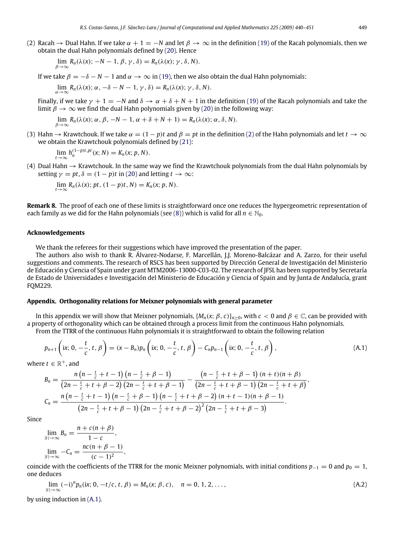(2) Racah  $\rightarrow$  Dual Hahn. If we take  $\alpha + 1 = -N$  and let  $\beta \rightarrow \infty$  in the definition [\(19\)](#page-6-1) of the Racah polynomials, then we obtain the dual Hahn polynomials defined by [\(20\).](#page-7-0) Hence

$$
\lim_{\beta \to \infty} R_n(\lambda(x); -N-1, \beta, \gamma, \delta) = R_n(\lambda(x); \gamma, \delta, N).
$$

If we take  $\beta = -\delta - N - 1$  and  $\alpha \rightarrow \infty$  in [\(19\),](#page-6-1) then we also obtain the dual Hahn polynomials:

$$
\lim_{\alpha \to \infty} R_n(\lambda(\alpha); \alpha, -\delta - N - 1, \gamma, \delta) = R_n(\lambda(\alpha); \gamma, \delta, N).
$$

Finally, if we take  $\gamma + 1 = -N$  and  $\delta \to \alpha + \delta + N + 1$  in the definition [\(19\)](#page-6-1) of the Racah polynomials and take the limit  $\beta \to \infty$  we find the dual Hahn polynomials given by [\(20\)](#page-7-0) in the following way:

$$
\lim_{\beta \to \infty} R_n(\lambda(x); \alpha, \beta, -N-1, \alpha+\delta+N+1) = R_n(\lambda(x); \alpha, \delta, N).
$$

(3) Hahn  $\rightarrow$  Krawtchouk. If we take  $\alpha = (1 - p)t$  and  $\beta = pt$  in the definition [\(2\)](#page-3-2) of the Hahn polynomials and let  $t \rightarrow \infty$ we obtain the Krawtchouk polynomials defined by [\(21\):](#page-9-3)

$$
\lim_{t\to\infty} h_n^{(1-p)t,pt}(x;N) = K_n(x;p,N).
$$

(4) Dual Hahn  $\rightarrow$  Krawtchouk. In the same way we find the Krawtchouk polynomials from the dual Hahn polynomials by setting  $\gamma = pt$ ,  $\delta = (1 - p)t$  in [\(20\)](#page-7-0) and letting  $t \to \infty$ :

$$
\lim_{t\to\infty}R_n(\lambda(x); pt, (1-p)t, N)=K_n(x; p, N).
$$

**Remark 8.** The proof of each one of these limits is straightforward once one reduces the hypergeometric representation of each family as we did for the Hahn polynomials (see [\(8\)\)](#page-4-0) which is valid for all  $n \in \mathbb{N}_0$ .

#### **Acknowledgements**

We thank the referees for their suggestions which have improved the presentation of the paper.

The authors also wish to thank R. Álvarez-Nodarse, F. Marcellán, J.J. Moreno-Balcázar and A. Zarzo, for their useful suggestions and comments. The research of RSCS has been supported by Dirección General de Investigación del Ministerio de Educación y Ciencia of Spain under grant MTM2006-13000-C03-02. The research of JFSL has been supported by Secretaría de Estado de Universidades e Investigación del Ministerio de Educación y Ciencia of Spain and by Junta de Andalucía, grant FQM229.

#### <span id="page-10-0"></span>**Appendix. Orthogonality relations for Meixner polynomials with general parameter**

In this appendix we will show that Meixner polynomials,  $\{M_n(x; \beta, c)\}_{n>0}$ , with  $c < 0$  and  $\beta \in \mathbb{C}$ , can be provided with a property of orthogonality which can be obtained through a process limit from the continuous Hahn polynomials.

From the TTRR of the continuous Hahn polynomials it is straightforward to obtain the following relation

<span id="page-10-1"></span>
$$
p_{n+1}\left(ix; 0, -\frac{t}{c}, t, \beta\right) = (x - B_n)p_n\left(ix; 0, -\frac{t}{c}, t, \beta\right) - C_np_{n-1}\left(ix; 0, -\frac{t}{c}, t, \beta\right),\tag{A.1}
$$

where  $t \in \mathbb{R}^+$ , and

$$
B_n = \frac{n(n - \frac{t}{c} + t - 1)(n - \frac{t}{c} + \beta - 1)}{(2n - \frac{t}{c} + t + \beta - 2)(2n - \frac{t}{c} + t + \beta - 1)} - \frac{(n - \frac{t}{c} + t + \beta - 1)(n + t)(n + \beta)}{(2n - \frac{t}{c} + t + \beta - 1)(2n - \frac{t}{c} + t + \beta)},
$$
  

$$
C_n = \frac{n(n - \frac{t}{c} + t - 1)(n - \frac{t}{c} + \beta - 1)(n - \frac{t}{c} + t + \beta - 2)(n + t - 1)(n + \beta - 1)}{(2n - \frac{t}{c} + t + \beta - 1)(2n - \frac{t}{c} + t + \beta - 2)^2(2n - \frac{t}{c} + t + \beta - 3)}.
$$

Since

$$
\lim_{|t|\to\infty} B_n = \frac{n + c(n+\beta)}{1-c},
$$
  

$$
\lim_{|t|\to\infty} -C_n = \frac{nc(n+\beta-1)}{(c-1)^2},
$$

coincide with the coefficients of the TTRR for the monic Meixner polynomials, with initial conditions  $p_{-1} = 0$  and  $p_0 = 1$ , one deduces

$$
\lim_{|t| \to \infty} (-i)^n p_n(ix; 0, -t/c, t, \beta) = M_n(x; \beta, c), \quad n = 0, 1, 2, ..., \tag{A.2}
$$

by using induction in [\(A.1\).](#page-10-1)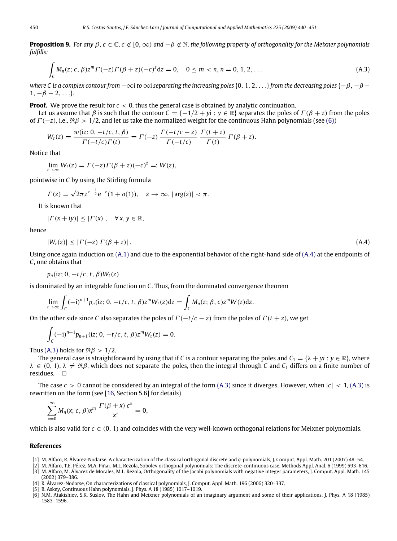**Proposition 9.** *For any*  $\beta$ ,  $c \in \mathbb{C}$ ,  $c \notin [0, \infty)$  *and*  $-\beta \notin \mathbb{N}$ , the following property of orthogonality for the Meixner polynomials *fulfills:*

<span id="page-11-7"></span>
$$
\int_{C} M_{n}(z; c, \beta) z^{m} \Gamma(-z) \Gamma(\beta + z) (-c)^{z} dz = 0, \quad 0 \leq m < n, n = 0, 1, 2, ...
$$
\n(A.3)

*where C is a complex contour from*  $-\infty$ *i to*  $\infty$ *i separating the increasing poles* {0, 1, 2, . . .}*from the decreasing poles* {−*β, −β* −  $1, -\beta - 2, \ldots$ }.

**Proof.** We prove the result for  $c < 0$ , thus the general case is obtained by analytic continuation.

Let us assume that  $\beta$  is such that the contour  $C = \{-1/2 + yi : y \in \mathbb{R}\}$  separates the poles of  $\Gamma(\beta + z)$  from the poles of  $\Gamma(-z)$ , i.e.,  $\Re \beta > 1/2$ , and let us take the normalized weight for the continuous Hahn polynomials (see [\(6\)\)](#page-3-4)

$$
W_t(z) = \frac{w(iz; 0, -t/c, t, \beta)}{\Gamma(-t/c)\Gamma(t)} = \Gamma(-z) \frac{\Gamma(-t/c - z)}{\Gamma(-t/c)} \frac{\Gamma(t + z)}{\Gamma(t)} \Gamma(\beta + z).
$$

Notice that

$$
\lim_{t \to \infty} W_t(z) = \Gamma(-z) \Gamma(\beta + z) (-c)^z =: W(z),
$$

pointwise in *C* by using the Stirling formula

$$
\Gamma(z) = \sqrt{2\pi} z^{z-\frac{1}{2}} e^{-z} (1 + o(1)), \quad z \to \infty, |\arg(z)| < \pi.
$$

It is known that

$$
|\Gamma(x+iy)| \leq |\Gamma(x)|, \quad \forall x, y \in \mathbb{R},
$$

hence

<span id="page-11-6"></span>
$$
|W_t(z)| \leq |\Gamma(-z) \Gamma(\beta + z)|. \tag{A.4}
$$

Using once again induction on  $(A,1)$  and due to the exponential behavior of the right-hand side of  $(A,4)$  at the endpoints of *C*, one obtains that

 $p_n(iz; 0, -t/c, t, \beta)W_t(z)$ 

is dominated by an integrable function on *C*. Thus, from the dominated convergence theorem

$$
\lim_{t\to\infty}\int_C(-i)^{n+1}p_n(iz;0,-t/c,t,\beta)z^mW_t(z)dz=\int_C M_n(z;\beta,c)z^mW(z)dz.
$$

On the other side since *C* also separates the poles of  $\Gamma(-t/c - z)$  from the poles of  $\Gamma(t + z)$ , we get

$$
\int_C (-i)^{n+1} p_{n+1}(iz; 0, -t/c, t, \beta) z^m W_t(z) = 0.
$$

Thus [\(A.3\)](#page-11-7) holds for  $\Re \beta > 1/2$ .

The general case is straightforward by using that if *C* is a contour separating the poles and  $C_1 = \{\lambda + yi : y \in \mathbb{R}\}$ , where  $\lambda \in (0, 1)$ ,  $\lambda \neq \Re \beta$ , which does not separate the poles, then the integral through *C* and *C*<sub>1</sub> differs on a finite number of residues.

The case  $c > 0$  cannot be considered by an integral of the form  $(A,3)$  since it diverges. However, when  $|c| < 1$ ,  $(A,3)$  is rewritten on the form (see [\[16,](#page-12-10) Section 5.6] for details)

$$
\sum_{x=0}^{\infty} M_n(x; c, \beta) x^m \frac{\Gamma(\beta + x) c^x}{x!} = 0,
$$

which is also valid for  $c \in (0, 1)$  and coincides with the very well-known orthogonal relations for Meixner polynomials.

#### **References**

- <span id="page-11-2"></span>[1] M. Alfaro, R. Álvarez-Nodarse, A characterization of the classical orthogonal discrete and *q*-polynomials, J. Comput. Appl. Math. 201 (2007) 48–54.
- <span id="page-11-1"></span><span id="page-11-0"></span>[2] M. Alfaro, T.E. Pérez, M.A. Piñar, M.L. Rezola, Sobolev orthogonal polynomials: The discrete-continuous case, Methods Appl. Anal. 6 (1999) 593–616. [3] M. Alfaro, M. Álvarez de Morales, M.L. Rezola, Orthogonality of the Jacobi polynomials with negative integer parameters, J. Comput. Appl. Math. 145
- (2002) 379–386.
- <span id="page-11-5"></span>[4] R. Álvarez-Nodarse, On characterizations of classical polynomials, J. Comput. Appl. Math. 196 (2006) 320–337.
- <span id="page-11-4"></span>[5] R. Askey, Continuous Hahn polynomials, J. Phys. A 18 (1985) 1017–1019.
- <span id="page-11-3"></span>[6] N.M. Atakishiev, S.K. Suslov, The Hahn and Meixner polynomials of an imaginary argument and some of their applications, J. Phys. A 18 (1985) 1583–1596.